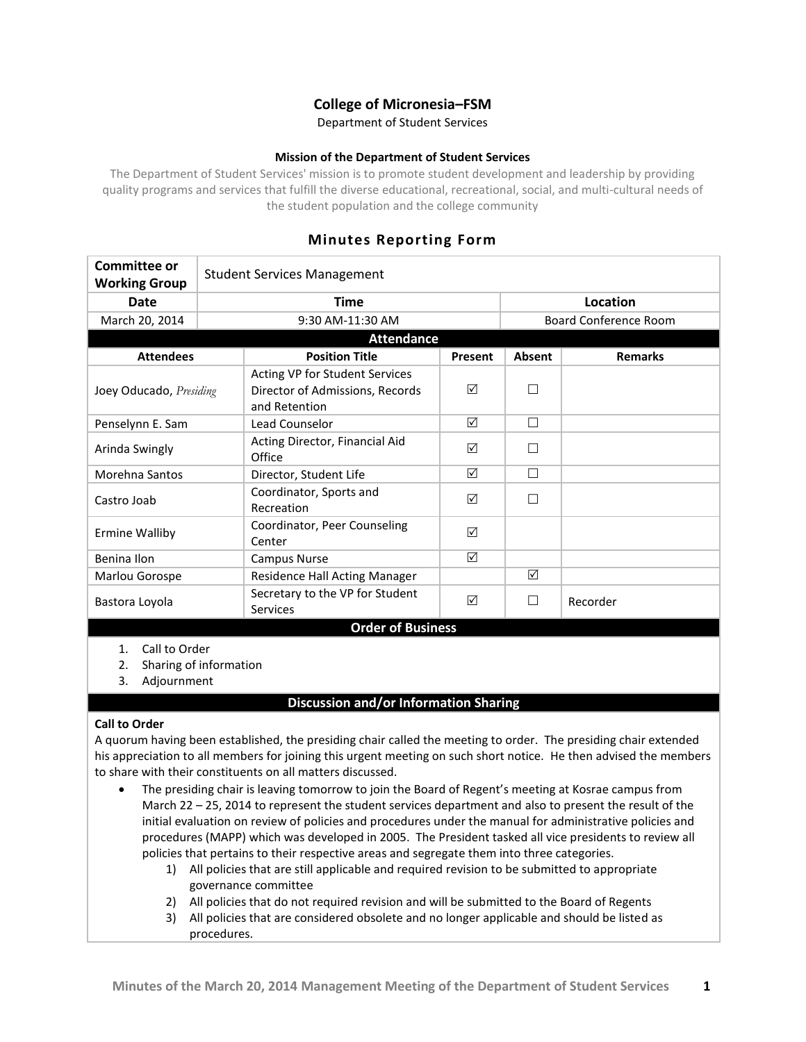# **College of Micronesia–FSM**

Department of Student Services

#### **Mission of the Department of Student Services**

The Department of Student Services' mission is to promote student development and leadership by providing quality programs and services that fulfill the diverse educational, recreational, social, and multi-cultural needs of the student population and the college community

# **Minutes Reporting Form**

| <b>Committee or</b><br><b>Working Group</b>                                   | <b>Student Services Management</b> |                                                                                    |          |                              |                |
|-------------------------------------------------------------------------------|------------------------------------|------------------------------------------------------------------------------------|----------|------------------------------|----------------|
| <b>Date</b>                                                                   | <b>Time</b>                        |                                                                                    | Location |                              |                |
| March 20, 2014                                                                | 9:30 AM-11:30 AM                   |                                                                                    |          | <b>Board Conference Room</b> |                |
| <b>Attendance</b>                                                             |                                    |                                                                                    |          |                              |                |
| <b>Attendees</b>                                                              |                                    | <b>Position Title</b>                                                              | Present  | <b>Absent</b>                | <b>Remarks</b> |
| Joey Oducado, Presiding                                                       |                                    | Acting VP for Student Services<br>Director of Admissions, Records<br>and Retention | ☑        | П                            |                |
| Penselynn E. Sam                                                              |                                    | Lead Counselor                                                                     | ☑        | $\Box$                       |                |
| Arinda Swingly                                                                |                                    | Acting Director, Financial Aid<br>Office                                           | ☑        | П                            |                |
| Morehna Santos                                                                |                                    | Director, Student Life                                                             | ☑        | П                            |                |
| Castro Joab                                                                   |                                    | Coordinator, Sports and<br>Recreation                                              | ☑        | П                            |                |
| <b>Ermine Walliby</b>                                                         |                                    | Coordinator, Peer Counseling<br>Center                                             | ☑        |                              |                |
| Benina Ilon                                                                   |                                    | Campus Nurse                                                                       | ☑        |                              |                |
| Marlou Gorospe                                                                |                                    | Residence Hall Acting Manager                                                      |          | ☑                            |                |
| Bastora Loyola                                                                |                                    | Secretary to the VP for Student<br>Services                                        | ☑        | П                            | Recorder       |
| <b>Order of Business</b>                                                      |                                    |                                                                                    |          |                              |                |
| $\lambda$ $\sim$ $\lambda$ $\sim$ $\lambda$ $\sim$ $\lambda$ $\sim$ $\lambda$ |                                    |                                                                                    |          |                              |                |

1. Call to Order

2. Sharing of information

3. Adjournment

### **Discussion and/or Information Sharing**

#### **Call to Order**

A quorum having been established, the presiding chair called the meeting to order. The presiding chair extended his appreciation to all members for joining this urgent meeting on such short notice. He then advised the members to share with their constituents on all matters discussed.

- The presiding chair is leaving tomorrow to join the Board of Regent's meeting at Kosrae campus from March 22 – 25, 2014 to represent the student services department and also to present the result of the initial evaluation on review of policies and procedures under the manual for administrative policies and procedures (MAPP) which was developed in 2005. The President tasked all vice presidents to review all policies that pertains to their respective areas and segregate them into three categories.
	- 1) All policies that are still applicable and required revision to be submitted to appropriate governance committee
	- 2) All policies that do not required revision and will be submitted to the Board of Regents
	- 3) All policies that are considered obsolete and no longer applicable and should be listed as procedures.